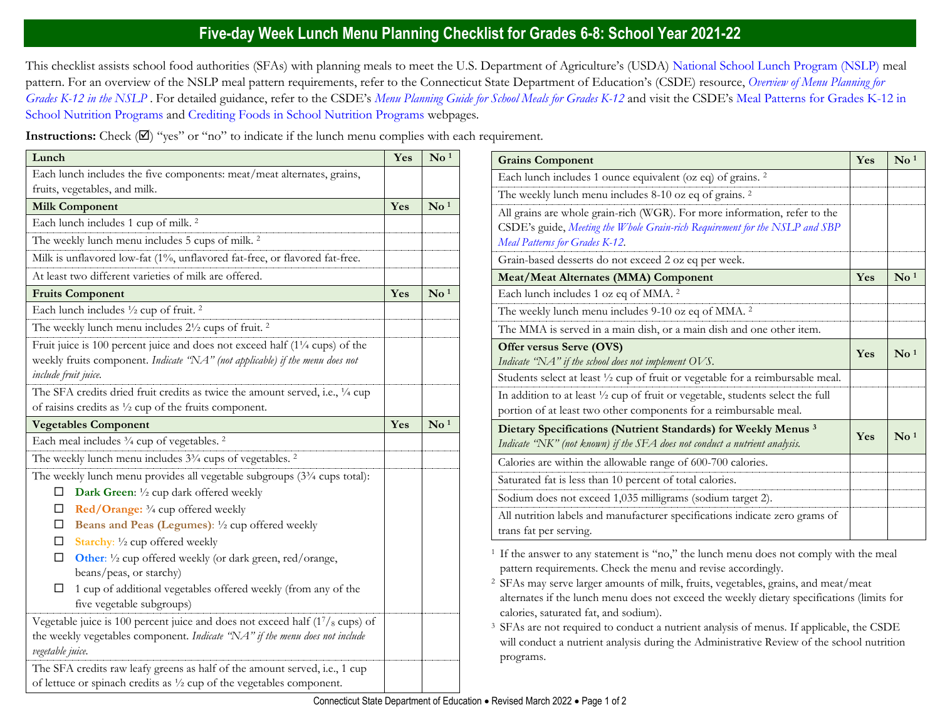## **Five-day Week Lunch Menu Planning Checklist for Grades 6-8: School Year 2021-22**

This checklist assists school food authorities (SFAs) with planning meals to meet the U.S. Department of Agriculture's (USDA) [National School Lunch Program \(NSLP\)](https://portal.ct.gov/SDE/Nutrition/National-School-Lunch-Program) meal pattern. For an overview of the NSLP meal pattern requirements, refer to the Connecticut State Department of Education's (CSDE) resource, *[Overview of Menu Planning for](https://portal.ct.gov/-/media/SDE/Nutrition/NSLP/MealPattern/Overview_Menu_Planning_NSLP_grades_K-12.pdf)  [Grades K-12 in the NSLP](https://portal.ct.gov/-/media/SDE/Nutrition/NSLP/MealPattern/Overview_Menu_Planning_NSLP_grades_K-12.pdf)* . For detailed guidance, refer to the CSDE's *[Menu Planning Guide for School Meals for Grades K-12](https://portal.ct.gov/SDE/Nutrition/Menu-Planning-Guide-for-School-Meals)* and visit the CSDE's [Meal Patterns for Grades K-12 in](https://portal.ct.gov/SDE/Nutrition/Meal-Patterns-School-Nutrition-Programs)  [School Nutrition Programs](https://portal.ct.gov/SDE/Nutrition/Meal-Patterns-School-Nutrition-Programs) and [Crediting Foods in School Nutrition Programs](https://portal.ct.gov/SDE/Nutrition/Crediting-Foods-in-School-Nutrition-Programs) webpages*.*

**Instructions:** Check  $(\mathbb{Z})$  "yes" or "no" to indicate if the lunch menu complies with each requirement.

| Lunch                                                                                                                                                                                | Yes | $\mathbf{N}\mathbf{o}$ <sup>1</sup> |
|--------------------------------------------------------------------------------------------------------------------------------------------------------------------------------------|-----|-------------------------------------|
| Each lunch includes the five components: meat/meat alternates, grains,                                                                                                               |     |                                     |
| fruits, vegetables, and milk.                                                                                                                                                        |     |                                     |
| <b>Milk Component</b>                                                                                                                                                                | Yes | $\mathbf{N}\mathbf{o}$ <sup>1</sup> |
| Each lunch includes 1 cup of milk. <sup>2</sup>                                                                                                                                      |     |                                     |
| The weekly lunch menu includes 5 cups of milk. <sup>2</sup>                                                                                                                          |     |                                     |
| Milk is unflavored low-fat (1%, unflavored fat-free, or flavored fat-free.                                                                                                           |     |                                     |
| At least two different varieties of milk are offered.                                                                                                                                |     |                                     |
| <b>Fruits Component</b>                                                                                                                                                              | Yes | $\mathbf{N}\mathbf{o}$ <sup>1</sup> |
| Each lunch includes 1/2 cup of fruit. <sup>2</sup>                                                                                                                                   |     |                                     |
| The weekly lunch menu includes 21/2 cups of fruit. <sup>2</sup>                                                                                                                      |     |                                     |
| Fruit juice is 100 percent juice and does not exceed half (11/4 cups) of the<br>weekly fruits component. Indicate "NA" (not applicable) if the menu does not<br>include fruit juice. |     |                                     |
| The SFA credits dried fruit credits as twice the amount served, i.e., 1/4 cup                                                                                                        |     |                                     |
| of raisins credits as $\frac{1}{2}$ cup of the fruits component.                                                                                                                     |     |                                     |
| <b>Vegetables Component</b>                                                                                                                                                          | Yes | $\mathbf{N}\mathbf{o}$ <sup>1</sup> |
| Each meal includes 3/4 cup of vegetables. <sup>2</sup>                                                                                                                               |     |                                     |
| The weekly lunch menu includes 3 <sup>3</sup> / <sub>4</sub> cups of vegetables. <sup>2</sup>                                                                                        |     |                                     |
| The weekly lunch menu provides all vegetable subgroups (3 <sup>3</sup> /4 cups total):<br>Dark Green: 1/2 cup dark offered weekly<br>□                                               |     |                                     |
| Red/Orange: 3/4 cup offered weekly<br>□                                                                                                                                              |     |                                     |
| Beans and Peas (Legumes): 1/2 cup offered weekly<br>□                                                                                                                                |     |                                     |
| Starchy: 1/2 cup offered weekly<br>□                                                                                                                                                 |     |                                     |
| □<br>Other: 1/2 cup offered weekly (or dark green, red/orange,<br>beans/peas, or starchy)                                                                                            |     |                                     |
| 1 cup of additional vegetables offered weekly (from any of the<br>□<br>five vegetable subgroups)                                                                                     |     |                                     |
| Vegetable juice is 100 percent juice and does not exceed half $(17/8$ cups) of<br>the weekly vegetables component. Indicate 'NA" if the menu does not include<br>vegetable juice.    |     |                                     |
| The SFA credits raw leafy greens as half of the amount served, i.e., 1 cup<br>of lettuce or spinach credits as $\frac{1}{2}$ cup of the vegetables component.                        |     |                                     |

| <b>Grains Component</b>                                                                                                                                                                    | Yes | $\mathbf{N}\mathbf{o}$ <sup>1</sup> |
|--------------------------------------------------------------------------------------------------------------------------------------------------------------------------------------------|-----|-------------------------------------|
| Each lunch includes 1 ounce equivalent (oz eq) of grains. <sup>2</sup>                                                                                                                     |     |                                     |
| The weekly lunch menu includes 8-10 oz eq of grains. <sup>2</sup>                                                                                                                          |     |                                     |
| All grains are whole grain-rich (WGR). For more information, refer to the<br>CSDE's guide, Meeting the Whole Grain-rich Requirement for the NSLP and SBP<br>Meal Patterns for Grades K-12. |     |                                     |
| Grain-based desserts do not exceed 2 oz eq per week.                                                                                                                                       |     |                                     |
| <b>Meat/Meat Alternates (MMA) Component</b>                                                                                                                                                | Yes | $\mathrm{No}$ <sup>1</sup>          |
| Each lunch includes 1 oz eq of MMA. <sup>2</sup>                                                                                                                                           |     |                                     |
| The weekly lunch menu includes 9-10 oz eq of MMA. <sup>2</sup>                                                                                                                             |     |                                     |
| The MMA is served in a main dish, or a main dish and one other item.                                                                                                                       |     |                                     |
| Offer versus Serve (OVS)<br>Indicate "NA" if the school does not implement OVS.                                                                                                            | Yes | $\mathrm{No}^{1}$                   |
| Students select at least 1/2 cup of fruit or vegetable for a reimbursable meal.                                                                                                            |     |                                     |
| In addition to at least 1/2 cup of fruit or vegetable, students select the full<br>portion of at least two other components for a reimbursable meal.                                       |     |                                     |
| Dietary Specifications (Nutrient Standards) for Weekly Menus <sup>3</sup><br>Indicate "NK" (not known) if the SFA does not conduct a nutrient analysis.                                    | Yes | $\mathbf{N}\mathbf{o}$ <sup>1</sup> |
| Calories are within the allowable range of 600-700 calories.                                                                                                                               |     |                                     |
| Saturated fat is less than 10 percent of total calories.                                                                                                                                   |     |                                     |
| Sodium does not exceed 1,035 milligrams (sodium target 2).                                                                                                                                 |     |                                     |
| All nutrition labels and manufacturer specifications indicate zero grams of<br>trans fat per serving.                                                                                      |     |                                     |

<sup>1</sup> If the answer to any statement is "no," the lunch menu does not comply with the meal pattern requirements. Check the menu and revise accordingly.

<sup>2</sup>SFAs may serve larger amounts of milk, fruits, vegetables, grains, and meat/meat alternates if the lunch menu does not exceed the weekly dietary specifications (limits for calories, saturated fat, and sodium).

<sup>3</sup> SFAs are not required to conduct a nutrient analysis of menus. If applicable, the CSDE will conduct a nutrient analysis during the Administrative Review of the school nutrition programs.